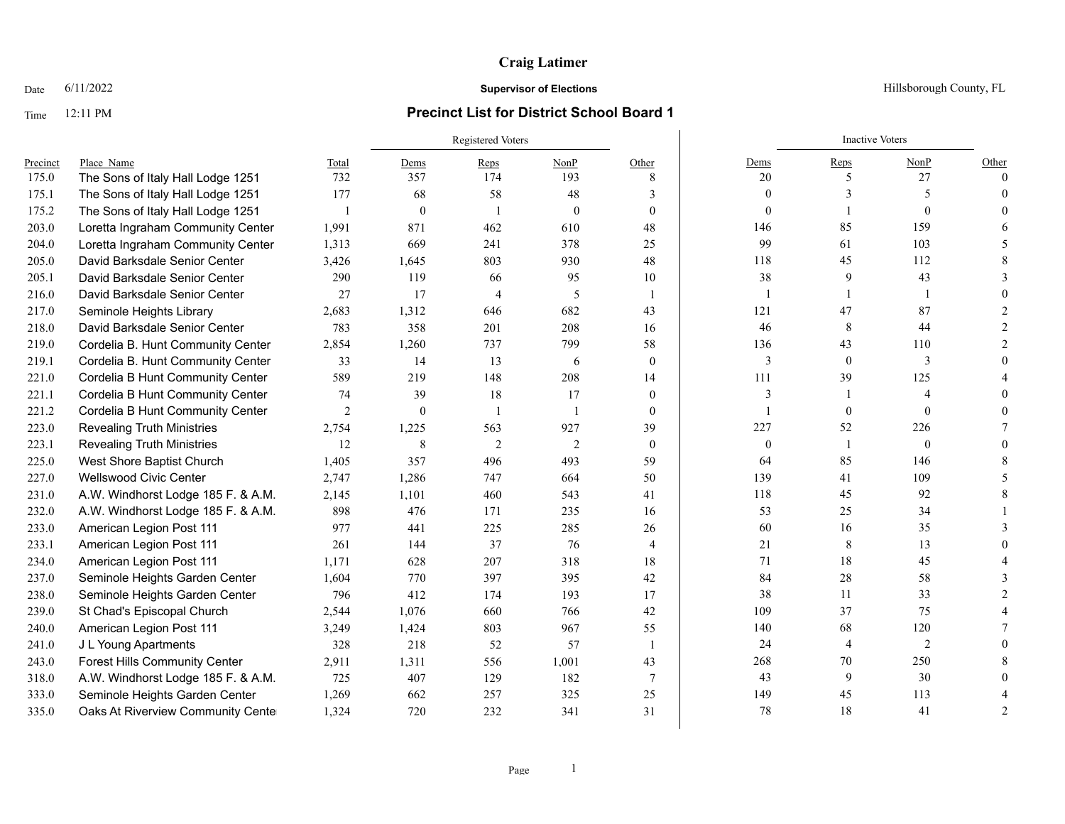### Time 12:11 PM **Precinct List for District School Board 1**

# Registered Voters **Inactive Voters** Inactive Voters **Inactive Voters** Precinct Place\_Name Total Dems Reps NonP Other Dems Reps NonP Other 175.0 The Sons of Italy Hall Lodge 1251 732 357 174 193 8 20 5 27 0 175.1 The Sons of Italy Hall Lodge 1251 177 68 58 48 3 0 3 0 3 5 0 175.2 The Sons of Italy Hall Lodge 1251 1 0 1 0 0 0 1 0 0 203.0 Loretta Ingraham Community Center 1,991 871 462 610 48 146 85 159 6 204.0 Loretta Ingraham Community Center 1.313 669 241 378 25 99 61 103 5 205.0 David Barksdale Senior Center 3,426 1,645 803 930 48 118 45 112 8 205.1 David Barksdale Senior Center 290 119 66 95 10 38 9 43 3 216.0 David Barksdale Senior Center 27 17 4 5 1 1 1 1 1 0 217.0 Seminole Heights Library 2,683 1,312 646 682 43 121 47 87 2 218.0 David Barksdale Senior Center 783 358 201 208 16 46 8 44 2 219.0 Cordelia B. Hunt Community Center 2,854 1,260 737 799 58 136 43 110 2 219.1 Cordelia B. Hunt Community Center 33 14 13 6 0 3 0 3 0 221.0 Cordelia B Hunt Community Center 589 219 148 208 14 111 39 125 4 221.1 Cordelia B Hunt Community Center 74 39 18 17 0 3 1 4 0 221.2 Cordelia B Hunt Community Center  $\begin{array}{ccccccccccccc}\n2 & 0 & 1 & 1 & 0 & 1 & 0 & 0 & 0 & 0\n\end{array}$ 223.0 Revealing Truth Ministries 2,754 1,225 563 927 39 227 52 226 7 223.1 Revealing Truth Ministries 12 8 2 2 0 0 1 0 0 0 225.0 West Shore Baptist Church 1,405 357 496 493 59 64 85 146 8 227.0 Wellswood Civic Center 2.747 1.286 747 664 50 139 41 109 5 231.0 A.W. Windhorst Lodge 185 F. & A.M. 2, 245 1, 101 460 543 41 18 45 92 8 232.0 A.W. Windhorst Lodge 185 F. & A.M. 898 476 171 235 16 53 25 34 1 233.0 American Legion Post 111 977 441 225 285 26 60 16 35 3 233.1 American Legion Post 111 261 144 37 76 4 21 8 13 0 234.0 American Legion Post 111 111 11 1628 207 318 18 18 71 18 45 4 237.0 Seminole Heights Garden Center 1,604 770 397 395 42 84 28 58 58 3 238.0 Seminole Heights Garden Center 796 412 174 193 17 38 11 33 2 239.0 St Chad's Episcopal Church 2,544 1,076 660 766 42 109 37 75 4 240.0 American Legion Post 111 3,249 1,424 803 967 55 1 140 68 120 7 241.0 J L Young Apartments 328 218 52 57 1 24 4 2 0 243.0 Forest Hills Community Center 2,911 1,311 556 1,001 43 268 70 250 8 318.0 A.W. Windhorst Lodge 185 F. & A.M. 725 407 129 182 7 43 9 30 0 333.0 Seminole Heights Garden Center 1,269 662 257 325 25 149 45 113 4 335.0 Oaks At Riverview Community Cente 1,324 720 232 341 31 78 18 41 2

#### **Date** 6/11/2022 **Supervisor of Elections Supervisor of Elections** Hillsborough County, FL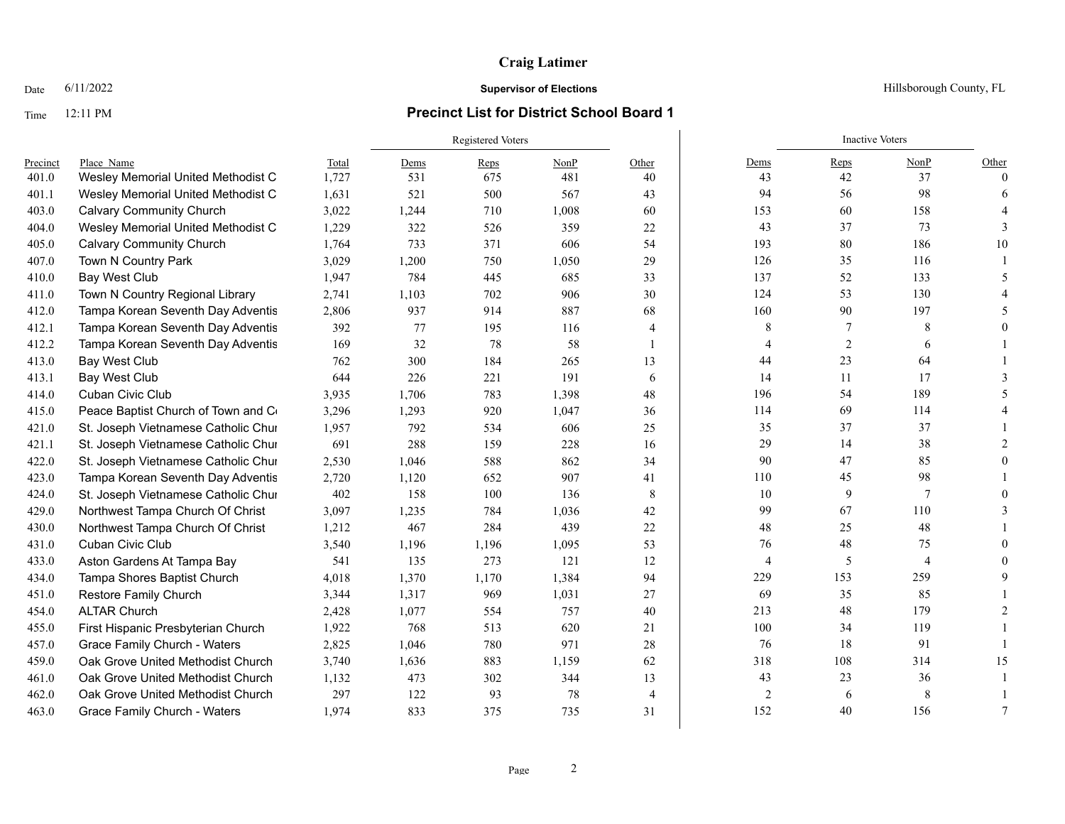### Time 12:11 PM **Precinct List for District School Board 1**

Registered Voters **Inactive Voters** Inactive Voters **Inactive Voters** Precinct Place\_Name Total Dems Reps NonP Other Dems Reps NonP Other 401.0 Wesley Memorial United Methodist Church 1,727 531 675 481 40 43 42 37 0 401.1 Wesley Memorial United Methodist Church 1,631 521 500 567 43 94 56 98 6 403.0 Calvary Community Church 3,022 1,244 710 1,008 60 153 60 158 4 404.0 Wesley Memorial United Methodist C and 1,229 322 526 359 22 43 37 37 73 3 405.0 Calvary Community Church 1,764 733 371 606 54 193 80 186 10 407.0 Town N Country Park 3,029 1,200 750 1,050 29 126 35 116 1 410.0 Bay West Club 1,947 784 445 685 33 52 133 5 411.0 Town N Country Regional Library 2,741 1,103 702 906 30 124 53 130 4 412.0 Tampa Korean Seventh Day Adventis 2,806 937 914 887 68 160 90 90 197 5 412.1 Tampa Korean Seventh Day Adventis 392 77 195 116 4 8 7 8 0 412.2 Tampa Korean Seventh Day Adventis 169 32 78 58 1 4 4 2 6 1 413.0 Bay West Club 762 300 184 265 13 44 23 64 1 413.1 Bay West Club 644 226 221 191 6 14 11 17 3 414.0 Cuban Civic Club 3,935 1,706 783 1,398 48 | 196 54 189 5 415.0 Peace Baptist Church of Town and Country 3,296 1,293 920 1,047 36 114 69 114 69 114 4 421.0 St. Joseph Vietnamese Catholic Chur 1,957 792 534 606 25 37 37 37 1 421.1 St. Joseph Vietnamese Catholic Chur 691 288 159 228 16 29 14 38 2 422.0 St. Joseph Vietnamese Catholic Church 2,530 1,046 588 862 34 90 47 85 0 423.0 Tampa Korean Seventh Day Adventis 2,720 1,120 652 907 41 10 110 45 98 1 424.0 St. Joseph Vietnamese Catholic Chur 402 158 100 136 8 100 9 7 0 429.0 Northwest Tampa Church Of Christ 3,097 1,235 784 1,036 42 99 67 110 3 430.0 Northwest Tampa Church Of Christ 1.212 467 284 439 22 48 25 48 1 431.0 Cuban Civic Club 3,540 1,196 1,095 53 76 48 75 0 433.0 Aston Gardens At Tampa Bay 541 135 273 121 12 1 4 5 4 0 434.0 Tampa Shores Baptist Church 4,018 1,370 1,170 1,384 94 229 153 259 9 451.0 Restore Family Church 3,344 1,317 969 1,031 27 69 35 85 1 454.0 ALTAR Church 2,428 1,077 554 757 40 213 48 179 2 455.0 First Hispanic Presbyterian Church 1,922 768 513 620 21 100 34 119 1 457.0 Grace Family Church - Waters  $2.825$   $1.046$   $780$   $971$   $28$   $76$   $76$   $18$   $91$   $1$ 459.0 Oak Grove United Methodist Church 3.740 1.636 883 1.159 62 318 108 314 15 461.0 Oak Grove United Methodist Church 1.132 473 302 344 13 43 23 36 1 462.0 Oak Grove United Methodist Church 297 122 93 78 4 2 6 8 1 463.0 Grace Family Church - Waters 1,974 833 375 735 31 132 40 156 7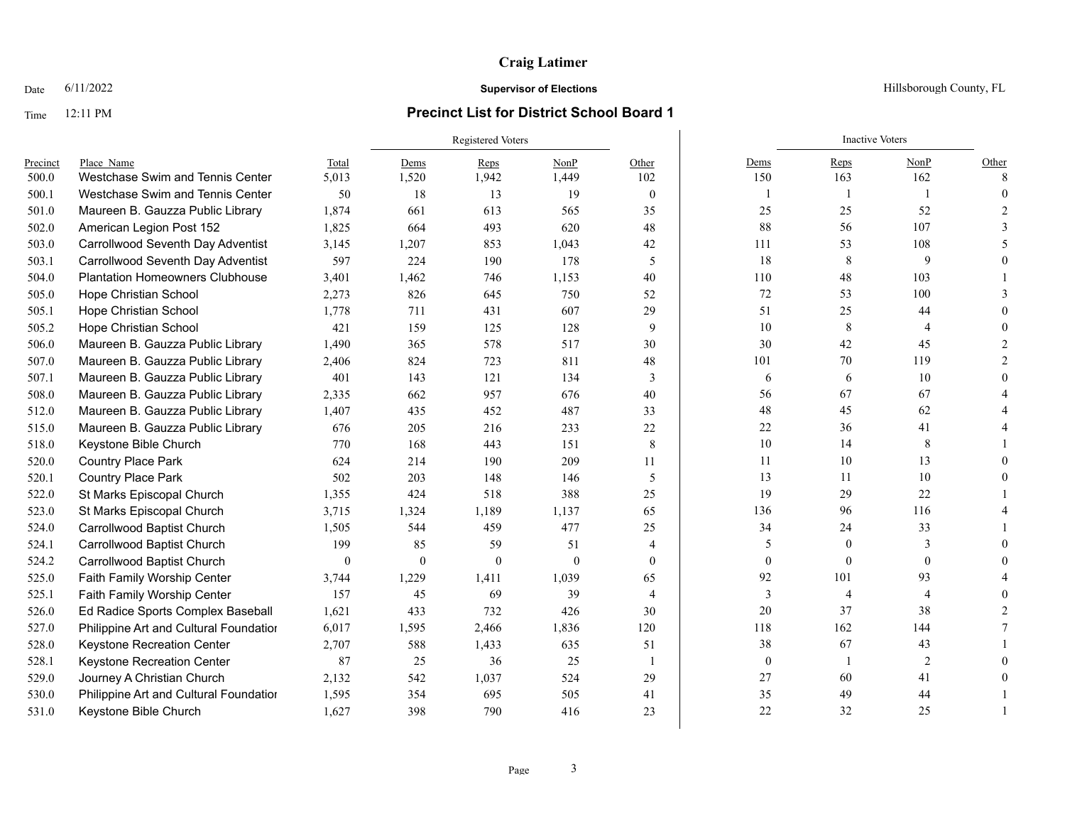# Time 12:11 PM **Precinct List for District School Board 1**

# Registered Voters **Inactive Voters**

| Precinct | Place Name                             | Total            | Dems         | Reps     | NonP     | Other          | Dems             | Reps         | NonP           | Other        |
|----------|----------------------------------------|------------------|--------------|----------|----------|----------------|------------------|--------------|----------------|--------------|
| 500.0    | Westchase Swim and Tennis Center       | 5,013            | 1,520        | 1,942    | 1,449    | 102            | 150              | 163          | 162            | $\mathbf{8}$ |
| 500.1    | Westchase Swim and Tennis Center       | 50               | 18           | 13       | 19       | $\theta$       |                  | 1            |                |              |
| 501.0    | Maureen B. Gauzza Public Library       | 1,874            | 661          | 613      | 565      | 35             | 25               | 25           | 52             |              |
| 502.0    | American Legion Post 152               | 1,825            | 664          | 493      | 620      | 48             | 88               | 56           | 107            |              |
| 503.0    | Carrollwood Seventh Day Adventist      | 3,145            | 1,207        | 853      | 1,043    | 42             | 111              | 53           | 108            |              |
| 503.1    | Carrollwood Seventh Day Adventist      | 597              | 224          | 190      | 178      | 5              | 18               | 8            | 9              |              |
| 504.0    | <b>Plantation Homeowners Clubhouse</b> | 3,401            | 1,462        | 746      | 1,153    | 40             | 110              | 48           | 103            |              |
| 505.0    | Hope Christian School                  | 2,273            | 826          | 645      | 750      | 52             | 72               | 53           | 100            |              |
| 505.1    | <b>Hope Christian School</b>           | 1.778            | 711          | 431      | 607      | 29             | 51               | 25           | 44             |              |
| 505.2    | Hope Christian School                  | 421              | 159          | 125      | 128      | 9              | 10               | 8            | 4              |              |
| 506.0    | Maureen B. Gauzza Public Library       | 1,490            | 365          | 578      | 517      | 30             | 30               | 42           | 45             |              |
| 507.0    | Maureen B. Gauzza Public Library       | 2,406            | 824          | 723      | 811      | 48             | 101              | 70           | 119            |              |
| 507.1    | Maureen B. Gauzza Public Library       | 401              | 143          | 121      | 134      | 3              | 6                | 6            | 10             |              |
| 508.0    | Maureen B. Gauzza Public Library       | 2,335            | 662          | 957      | 676      | 40             | 56               | 67           | 67             |              |
| 512.0    | Maureen B. Gauzza Public Library       | 1,407            | 435          | 452      | 487      | 33             | 48               | 45           | 62             |              |
| 515.0    | Maureen B. Gauzza Public Library       | 676              | 205          | 216      | 233      | 22             | $22\,$           | 36           | 41             |              |
| 518.0    | Keystone Bible Church                  | 770              | 168          | 443      | 151      | $\,8\,$        | 10               | 14           | 8              |              |
| 520.0    | <b>Country Place Park</b>              | 624              | 214          | 190      | 209      | 11             | 11               | 10           | 13             |              |
| 520.1    | <b>Country Place Park</b>              | 502              | 203          | 148      | 146      | 5              | 13               | 11           | 10             |              |
| 522.0    | St Marks Episcopal Church              | 1,355            | 424          | 518      | 388      | 25             | 19               | 29           | 22             |              |
| 523.0    | St Marks Episcopal Church              | 3,715            | 1,324        | 1,189    | 1,137    | 65             | 136              | 96           | 116            |              |
| 524.0    | Carrollwood Baptist Church             | 1,505            | 544          | 459      | 477      | 25             | 34               | 24           | 33             |              |
| 524.1    | <b>Carrollwood Baptist Church</b>      | 199              | 85           | 59       | 51       | $\overline{4}$ | 5                | $\mathbf{0}$ | 3              |              |
| 524.2    | Carrollwood Baptist Church             | $\boldsymbol{0}$ | $\mathbf{0}$ | $\theta$ | $\theta$ | $\theta$       | $\mathbf{0}$     | $\Omega$     | $\theta$       |              |
| 525.0    | Faith Family Worship Center            | 3,744            | 1,229        | 1,411    | 1,039    | 65             | 92               | 101          | 93             |              |
| 525.1    | Faith Family Worship Center            | 157              | 45           | 69       | 39       | $\overline{4}$ | 3                | 4            | 4              |              |
| 526.0    | Ed Radice Sports Complex Baseball      | 1,621            | 433          | 732      | 426      | 30             | 20               | 37           | 38             |              |
| 527.0    | Philippine Art and Cultural Foundatior | 6,017            | 1,595        | 2,466    | 1,836    | 120            | 118              | 162          | 144            |              |
| 528.0    | Keystone Recreation Center             | 2,707            | 588          | 1,433    | 635      | 51             | 38               | 67           | 43             |              |
| 528.1    | Keystone Recreation Center             | 87               | 25           | 36       | 25       |                | $\boldsymbol{0}$ |              | $\overline{c}$ |              |
| 529.0    | Journey A Christian Church             | 2,132            | 542          | 1,037    | 524      | 29             | 27               | 60           | 41             |              |
| 530.0    | Philippine Art and Cultural Foundatior | 1,595            | 354          | 695      | 505      | 41             | 35               | 49           | 44             |              |
| 531.0    | Keystone Bible Church                  | 1,627            | 398          | 790      | 416      | 23             | 22               | 32           | 25             |              |
|          |                                        |                  |              |          |          |                |                  |              |                |              |

Date  $6/11/2022$  Hillsborough County, FL